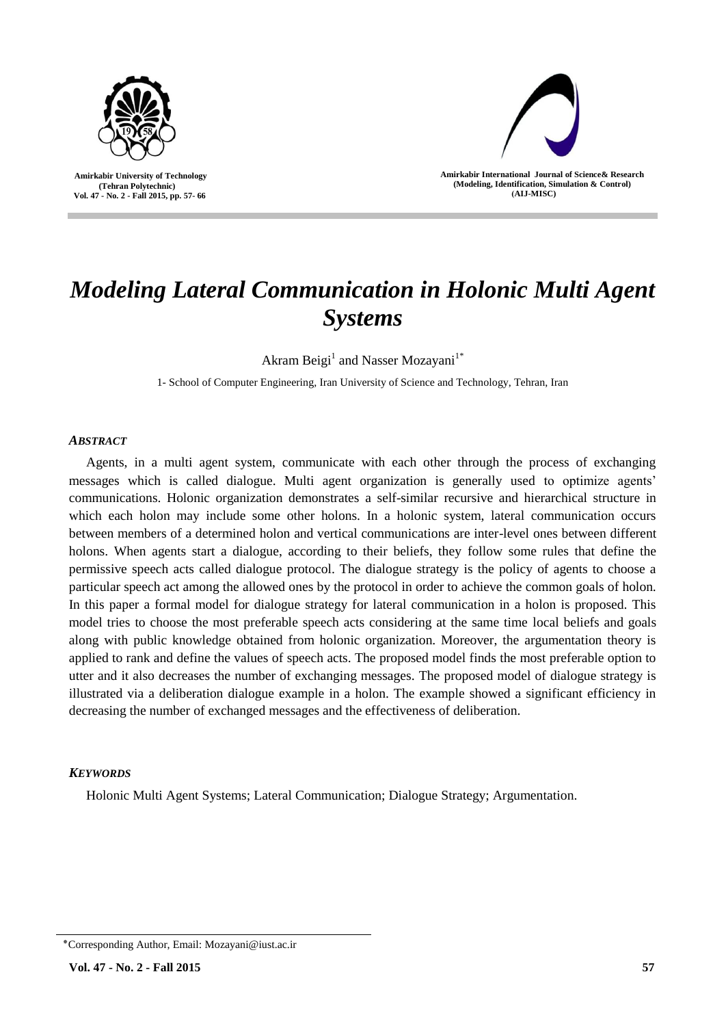

 **Amirkabir University of Technology (Tehran Polytechnic) Vol. 47 - No. 2 - Fall 2015, pp. 57- 66**



**Amirkabir International Journal of Science& Research (Modeling, Identification, Simulation & Control) )AIJ-MISC)**

# *Modeling Lateral Communication in Holonic Multi Agent Systems*

Akram Beigi<sup>1</sup> and Nasser Mozayani<sup>1\*</sup>

1- School of Computer Engineering, Iran University of Science and Technology, Tehran, Iran

# *ABSTRACT*

Agents, in a multi agent system, communicate with each other through the process of exchanging messages which is called dialogue. Multi agent organization is generally used to optimize agents' communications. Holonic organization demonstrates a self-similar recursive and hierarchical structure in which each holon may include some other holons. In a holonic system, lateral communication occurs between members of a determined holon and vertical communications are inter-level ones between different holons. When agents start a dialogue, according to their beliefs, they follow some rules that define the permissive speech acts called dialogue protocol. The dialogue strategy is the policy of agents to choose a particular speech act among the allowed ones by the protocol in order to achieve the common goals of holon. In this paper a formal model for dialogue strategy for lateral communication in a holon is proposed. This model tries to choose the most preferable speech acts considering at the same time local beliefs and goals along with public knowledge obtained from holonic organization. Moreover, the argumentation theory is applied to rank and define the values of speech acts. The proposed model finds the most preferable option to utter and it also decreases the number of exchanging messages. The proposed model of dialogue strategy is illustrated via a deliberation dialogue example in a holon. The example showed a significant efficiency in decreasing the number of exchanged messages and the effectiveness of deliberation.

# *KEYWORDS*

Holonic Multi Agent Systems; Lateral Communication; Dialogue Strategy; Argumentation.

<sup>٭</sup>Corresponding Author, Email: Mozayani@iust.ac.ir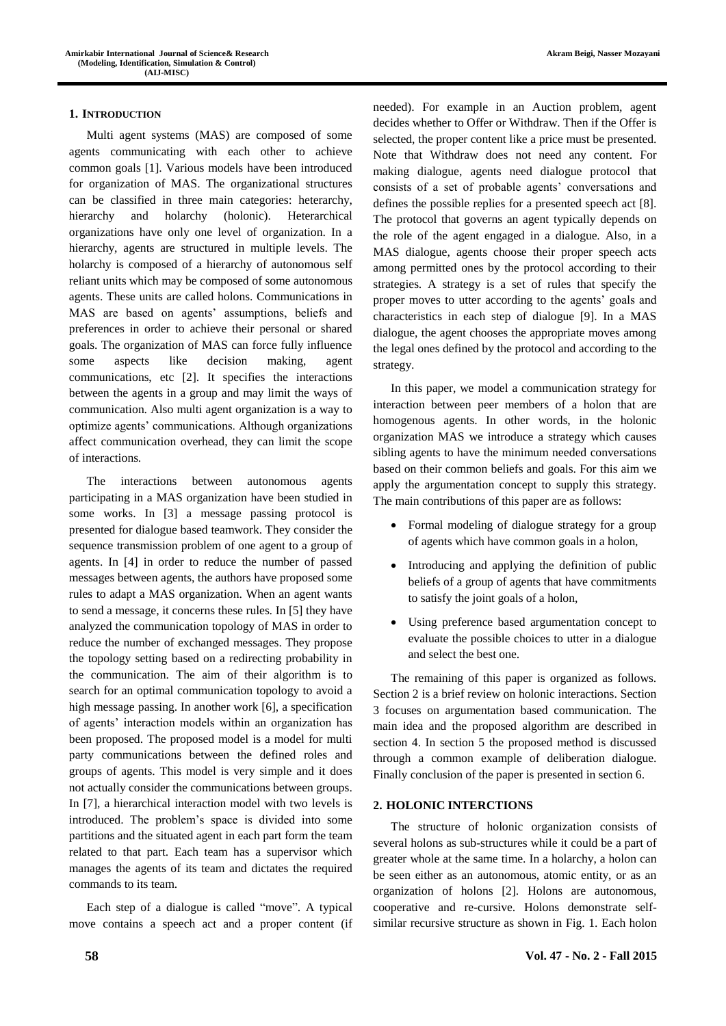## **1. INTRODUCTION**

Multi agent systems (MAS) are composed of some agents communicating with each other to achieve common goals [1]. Various models have been introduced for organization of MAS. The organizational structures can be classified in three main categories: heterarchy, hierarchy and holarchy (holonic). Heterarchical organizations have only one level of organization. In a hierarchy, agents are structured in multiple levels. The holarchy is composed of a hierarchy of autonomous self reliant units which may be composed of some autonomous agents. These units are called holons. Communications in MAS are based on agents' assumptions, beliefs and preferences in order to achieve their personal or shared goals. The organization of MAS can force fully influence some aspects like decision making, agent communications, etc [2]. It specifies the interactions between the agents in a group and may limit the ways of communication. Also multi agent organization is a way to optimize agents' communications. Although organizations affect communication overhead, they can limit the scope of interactions.

The interactions between autonomous agents participating in a MAS organization have been studied in some works. In [3] a message passing protocol is presented for dialogue based teamwork. They consider the sequence transmission problem of one agent to a group of agents. In [4] in order to reduce the number of passed messages between agents, the authors have proposed some rules to adapt a MAS organization. When an agent wants to send a message, it concerns these rules. In [5] they have analyzed the communication topology of MAS in order to reduce the number of exchanged messages. They propose the topology setting based on a redirecting probability in the communication. The aim of their algorithm is to search for an optimal communication topology to avoid a high message passing. In another work [6], a specification of agents' interaction models within an organization has been proposed. The proposed model is a model for multi party communications between the defined roles and groups of agents. This model is very simple and it does not actually consider the communications between groups. In [7], a hierarchical interaction model with two levels is introduced. The problem's space is divided into some partitions and the situated agent in each part form the team related to that part. Each team has a supervisor which manages the agents of its team and dictates the required commands to its team.

Each step of a dialogue is called "move". A typical move contains a speech act and a proper content (if needed). For example in an Auction problem, agent decides whether to Offer or Withdraw. Then if the Offer is selected, the proper content like a price must be presented. Note that Withdraw does not need any content. For making dialogue, agents need dialogue protocol that consists of a set of probable agents' conversations and defines the possible replies for a presented speech act [8]. The protocol that governs an agent typically depends on the role of the agent engaged in a dialogue. Also, in a MAS dialogue, agents choose their proper speech acts among permitted ones by the protocol according to their strategies. A strategy is a set of rules that specify the proper moves to utter according to the agents' goals and characteristics in each step of dialogue [9]. In a MAS dialogue, the agent chooses the appropriate moves among the legal ones defined by the protocol and according to the strategy.

In this paper, we model a communication strategy for interaction between peer members of a holon that are homogenous agents. In other words, in the holonic organization MAS we introduce a strategy which causes sibling agents to have the minimum needed conversations based on their common beliefs and goals. For this aim we apply the argumentation concept to supply this strategy. The main contributions of this paper are as follows:

- Formal modeling of dialogue strategy for a group of agents which have common goals in a holon,
- Introducing and applying the definition of public beliefs of a group of agents that have commitments to satisfy the joint goals of a holon,
- Using preference based argumentation concept to evaluate the possible choices to utter in a dialogue and select the best one.

The remaining of this paper is organized as follows. Section 2 is a brief review on holonic interactions. Section 3 focuses on argumentation based communication. The main idea and the proposed algorithm are described in section 4. In section 5 the proposed method is discussed through a common example of deliberation dialogue. Finally conclusion of the paper is presented in section 6.

# **2. HOLONIC INTERCTIONS**

The structure of holonic organization consists of several holons as sub-structures while it could be a part of greater whole at the same time. In a holarchy, a holon can be seen either as an autonomous, atomic entity, or as an organization of holons [2]. Holons are autonomous, cooperative and re-cursive. Holons demonstrate selfsimilar recursive structure as shown in Fig. 1. Each holon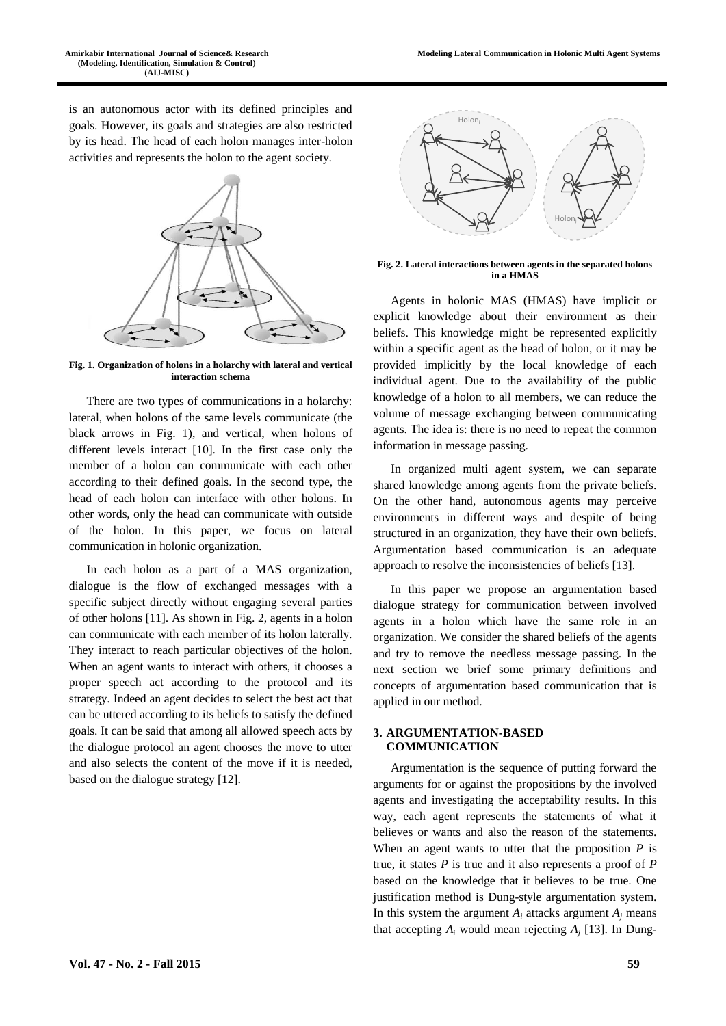is an autonomous actor with its defined principles and goals. However, its goals and strategies are also restricted by its head. The head of each holon manages inter-holon activities and represents the holon to the agent society.



**Fig. 1. Organization of holons in a holarchy with lateral and vertical interaction schema**

There are two types of communications in a holarchy: lateral, when holons of the same levels communicate (the black arrows in Fig. 1), and vertical, when holons of different levels interact [10]. In the first case only the member of a holon can communicate with each other according to their defined goals. In the second type, the head of each holon can interface with other holons. In other words, only the head can communicate with outside of the holon. In this paper, we focus on lateral communication in holonic organization.

In each holon as a part of a MAS organization, dialogue is the flow of exchanged messages with a specific subject directly without engaging several parties of other holons [11]. As shown in Fig. 2, agents in a holon can communicate with each member of its holon laterally. They interact to reach particular objectives of the holon. When an agent wants to interact with others, it chooses a proper speech act according to the protocol and its strategy. Indeed an agent decides to select the best act that can be uttered according to its beliefs to satisfy the defined goals. It can be said that among all allowed speech acts by the dialogue protocol an agent chooses the move to utter and also selects the content of the move if it is needed, based on the dialogue strategy [12].



**Fig. 2. Lateral interactions between agents in the separated holons in a HMAS**

Agents in holonic MAS (HMAS) have implicit or explicit knowledge about their environment as their beliefs. This knowledge might be represented explicitly within a specific agent as the head of holon, or it may be provided implicitly by the local knowledge of each individual agent. Due to the availability of the public knowledge of a holon to all members, we can reduce the volume of message exchanging between communicating agents. The idea is: there is no need to repeat the common information in message passing.

In organized multi agent system, we can separate shared knowledge among agents from the private beliefs. On the other hand, autonomous agents may perceive environments in different ways and despite of being structured in an organization, they have their own beliefs. Argumentation based communication is an adequate approach to resolve the inconsistencies of beliefs [13].

In this paper we propose an argumentation based dialogue strategy for communication between involved agents in a holon which have the same role in an organization. We consider the shared beliefs of the agents and try to remove the needless message passing. In the next section we brief some primary definitions and concepts of argumentation based communication that is applied in our method.

## **3. ARGUMENTATION-BASED COMMUNICATION**

Argumentation is the sequence of putting forward the arguments for or against the propositions by the involved agents and investigating the acceptability results. In this way, each agent represents the statements of what it believes or wants and also the reason of the statements. When an agent wants to utter that the proposition *P* is true, it states *P* is true and it also represents a proof of *P* based on the knowledge that it believes to be true. One justification method is Dung-style argumentation system. In this system the argument  $A_i$  attacks argument  $A_j$  means that accepting  $A_i$  would mean rejecting  $A_i$  [13]. In Dung-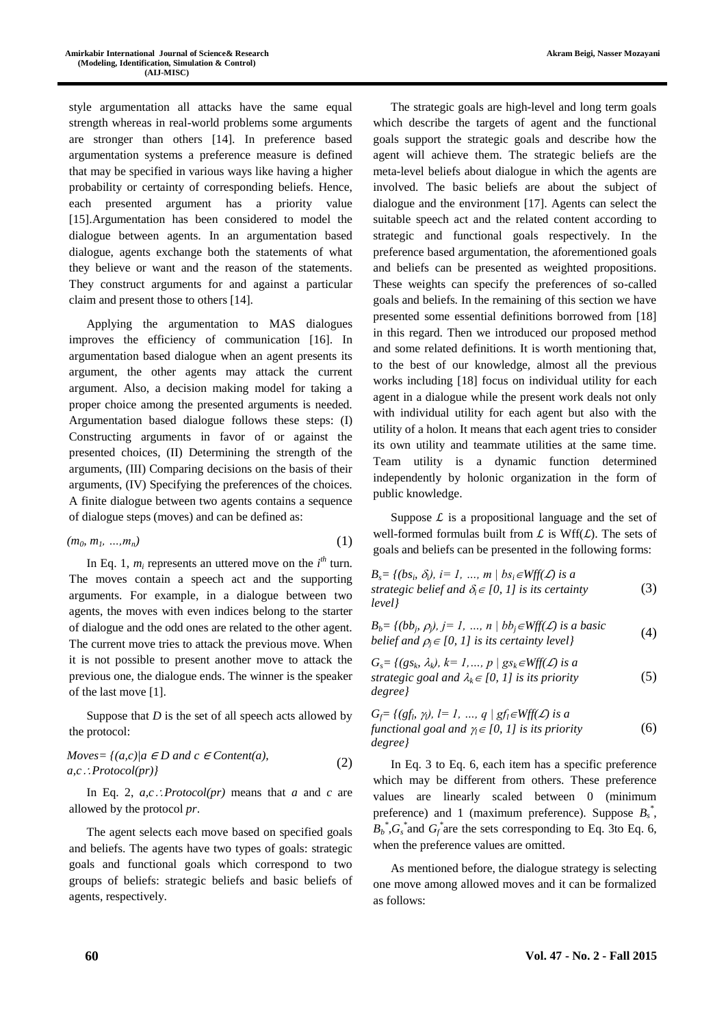style argumentation all attacks have the same equal strength whereas in real-world problems some arguments are stronger than others [14]. In preference based argumentation systems a preference measure is defined that may be specified in various ways like having a higher probability or certainty of corresponding beliefs. Hence, each presented argument has a priority value [15].Argumentation has been considered to model the dialogue between agents. In an argumentation based dialogue, agents exchange both the statements of what they believe or want and the reason of the statements. They construct arguments for and against a particular claim and present those to others [14].

Applying the argumentation to MAS dialogues improves the efficiency of communication [16]. In argumentation based dialogue when an agent presents its argument, the other agents may attack the current argument. Also, a decision making model for taking a proper choice among the presented arguments is needed. Argumentation based dialogue follows these steps: (I) Constructing arguments in favor of or against the presented choices, (II) Determining the strength of the arguments, (III) Comparing decisions on the basis of their arguments, (IV) Specifying the preferences of the choices. A finite dialogue between two agents contains a sequence of dialogue steps (moves) and can be defined as:

$$
(m_0, m_1, \ldots, m_n) \tag{1}
$$

In Eq. 1,  $m_i$  represents an uttered move on the  $i<sup>th</sup>$  turn. The moves contain a speech act and the supporting arguments. For example, in a dialogue between two agents, the moves with even indices belong to the starter of dialogue and the odd ones are related to the other agent. The current move tries to attack the previous move. When it is not possible to present another move to attack the previous one, the dialogue ends. The winner is the speaker of the last move [1].

Suppose that *D* is the set of all speech acts allowed by the protocol:

$$
Moves = \{(a, c) | a \in D \text{ and } c \in Content(a),a, c.: Protocol(pr)\}\
$$
 (2)

In Eq. 2,  $a, c$ : *Protocol(pr)* means that *a* and *c* are allowed by the protocol *pr*.

The agent selects each move based on specified goals and beliefs. The agents have two types of goals: strategic goals and functional goals which correspond to two groups of beliefs: strategic beliefs and basic beliefs of agents, respectively.

The strategic goals are high-level and long term goals which describe the targets of agent and the functional goals support the strategic goals and describe how the agent will achieve them. The strategic beliefs are the meta-level beliefs about dialogue in which the agents are involved. The basic beliefs are about the subject of dialogue and the environment [17]. Agents can select the suitable speech act and the related content according to strategic and functional goals respectively. In the preference based argumentation, the aforementioned goals and beliefs can be presented as weighted propositions. These weights can specify the preferences of so-called goals and beliefs. In the remaining of this section we have presented some essential definitions borrowed from [18] in this regard. Then we introduced our proposed method and some related definitions. It is worth mentioning that, to the best of our knowledge, almost all the previous works including [18] focus on individual utility for each agent in a dialogue while the present work deals not only with individual utility for each agent but also with the utility of a holon. It means that each agent tries to consider its own utility and teammate utilities at the same time. Team utility is a dynamic function determined independently by holonic organization in the form of public knowledge.

Suppose  $\mathcal L$  is a propositional language and the set of well-formed formulas built from  $\mathcal L$  is Wff( $\mathcal L$ ). The sets of goals and beliefs can be presented in the following forms:

$$
B_s = \{(bs_i, \delta_i), i = 1, ..., m \mid bs_i \in Wff(\mathcal{L}) \text{ is a}
$$
  
strategies belief and  $\delta_i \in [0, 1]$  is its certainty  
*level*} (3)

$$
B_b = \{ (bb_j, \rho_j), j = 1, ..., n \mid bb_j \in Wff(\mathcal{L}) \text{ is a basic} \}
$$
  
belief and  $\rho_j \in [0, 1]$  is its certainty level \} (4)

$$
G_s = \{ (gs_k, \lambda_k), k = 1, ..., p \mid gs_k \in Wff(\mathcal{L}) \text{ is a}
$$
  
strategies goal and  $\lambda_k \in [0, 1]$  is its priority  
degree\} (5)

$$
G_f = \{ (gf_i, \gamma_i), l = 1, ..., q \mid gf_i \in Wff(\mathcal{L}) \text{ is a}
$$
  
functional goal and  $\gamma_i \in [0, 1]$  is its priority  
degree\} (6)

In Eq. 3 to Eq. 6, each item has a specific preference which may be different from others. These preference values are linearly scaled between 0 (minimum preference) and 1 (maximum preference). Suppose *B<sup>s</sup> \** ,  $B_b^*$ ,  $G_s^*$  and  $G_f^*$  are the sets corresponding to Eq. 3to Eq. 6, when the preference values are omitted.

As mentioned before, the dialogue strategy is selecting one move among allowed moves and it can be formalized as follows: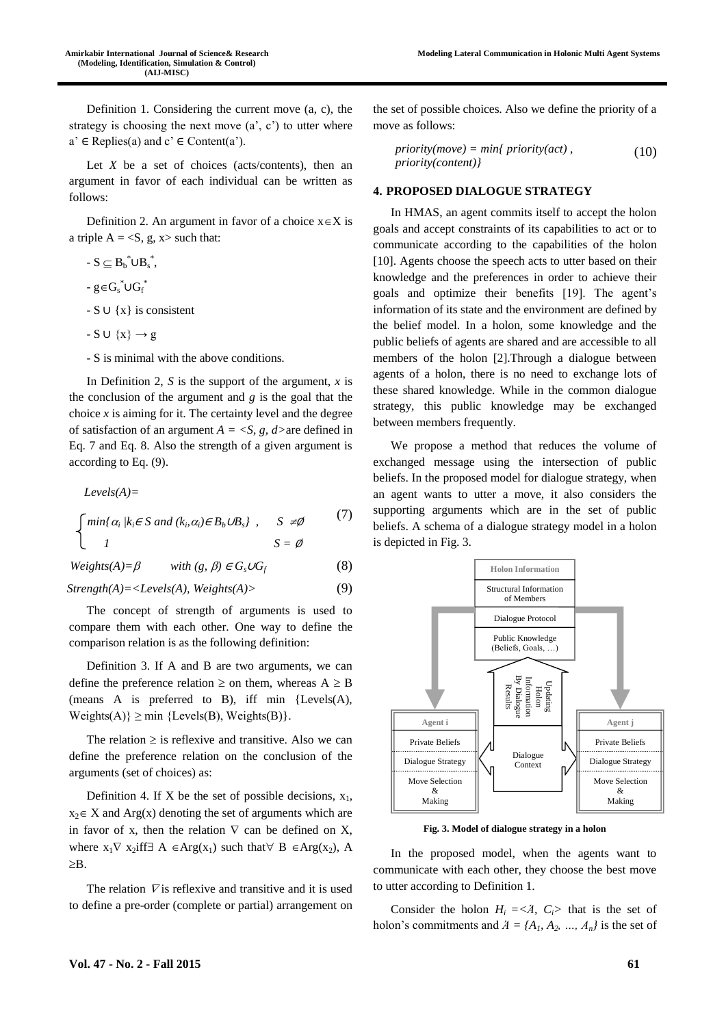Definition 1. Considering the current move (a, c), the strategy is choosing the next move  $(a', c')$  to utter where  $a' \in \text{Replies}(a)$  and  $c' \in \text{Content}(a')$ .

Let  $X$  be a set of choices (acts/contents), then an argument in favor of each individual can be written as follows:

Definition 2. An argument in favor of a choice  $x \in X$  is a triple  $A = \langle S, g, x \rangle$  such that:

- $-S \subseteq B_b^* \cup B_s^*$ ,
- g∈ $G_s^* \cup G_f^*$
- S ∪ {x} is consistent
- $-S \cup \{x\} \rightarrow g$
- S is minimal with the above conditions.

In Definition 2, *S* is the support of the argument, *x* is the conclusion of the argument and  $g$  is the goal that the choice  $x$  is aiming for it. The certainty level and the degree of satisfaction of an argument *A = <S, g, d>*are defined in Eq. 7 and Eq. 8. Also the strength of a given argument is according to Eq. (9).

*Levels(A)= min{* $\alpha_i$  / $k_i \in S$  *and* ( $k_i$ , $\alpha_i$ ) $\in B_b \cup B_s$ },  $S \neq \emptyset$ *<u><i>1*</u> *S* = ∅ (7)

 $Weights(A) = \beta$  with  $(g, \beta) \in G_s \cup G_f$  (8)

*Strength(A)=<Levels(A), Weights(A)>* (9)

The concept of strength of arguments is used to compare them with each other. One way to define the comparison relation is as the following definition:

Definition 3. If A and B are two arguments, we can define the preference relation  $\geq$  on them, whereas  $A \geq B$ (means A is preferred to B), iff min {Levels(A),  $\text{Weights}(A) \ge \min \{ \text{Levels}(B), \text{Weights}(B) \}.$ 

The relation  $\geq$  is reflexive and transitive. Also we can define the preference relation on the conclusion of the arguments (set of choices) as:

Definition 4. If X be the set of possible decisions,  $x_1$ ,  $x_2 \in X$  and Arg(x) denoting the set of arguments which are in favor of x, then the relation  $\nabla$  can be defined on X, where  $x_1 \nabla x_2$  if  $A \in \text{Arg}(x_1)$  such that  $\nabla B \in \text{Arg}(x_2)$ , A  $>$  $R$ 

The relation  $\nabla$  is reflexive and transitive and it is used to define a pre-order (complete or partial) arrangement on

the set of possible choices. Also we define the priority of a move as follows:

$$
priority(move) = min{ priority(act),priority(content)}
$$
\n(10)

#### **4. PROPOSED DIALOGUE STRATEGY**

In HMAS, an agent commits itself to accept the holon goals and accept constraints of its capabilities to act or to communicate according to the capabilities of the holon [10]. Agents choose the speech acts to utter based on their knowledge and the preferences in order to achieve their goals and optimize their benefits [19]. The agent's information of its state and the environment are defined by the belief model. In a holon, some knowledge and the public beliefs of agents are shared and are accessible to all members of the holon [2].Through a dialogue between agents of a holon, there is no need to exchange lots of these shared knowledge. While in the common dialogue strategy, this public knowledge may be exchanged between members frequently.

We propose a method that reduces the volume of exchanged message using the intersection of public beliefs. In the proposed model for dialogue strategy, when an agent wants to utter a move, it also considers the supporting arguments which are in the set of public beliefs. A schema of a dialogue strategy model in a holon is depicted in Fig. 3.



**Fig. 3. Model of dialogue strategy in a holon**

In the proposed model, when the agents want to communicate with each other, they choose the best move to utter according to Definition 1.

Consider the holon  $H_i = \langle A, C_i \rangle$  that is the set of holon's commitments and  $A = \{A_1, A_2, ..., A_n\}$  is the set of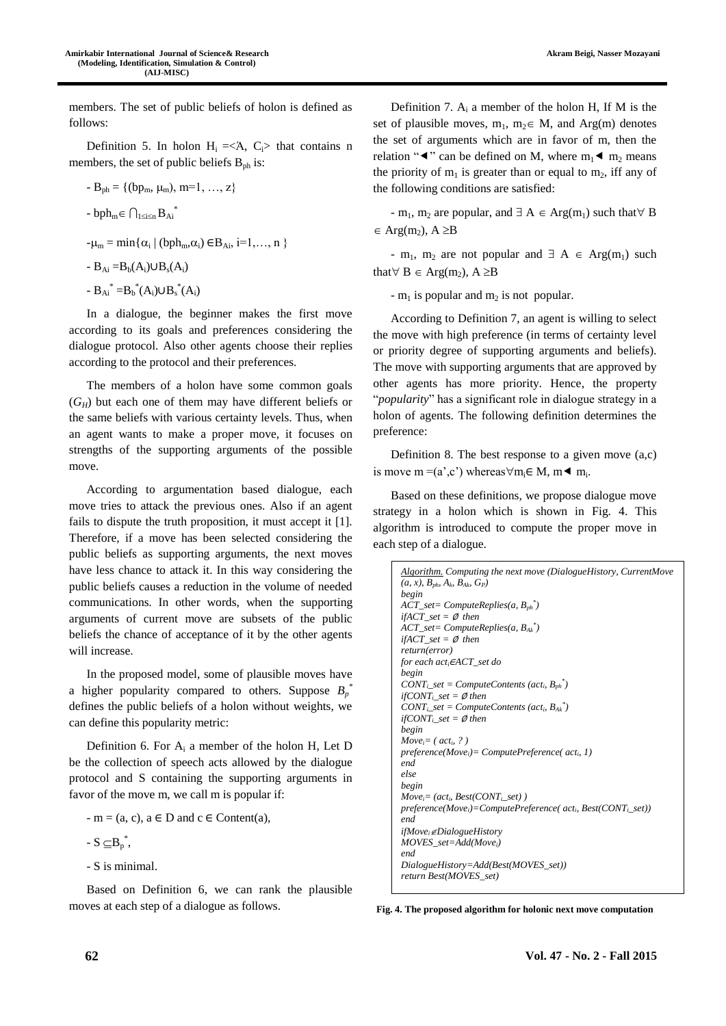**Akram Beigi, Nasser Mozayani**

members. The set of public beliefs of holon is defined as follows:

Definition 5. In holon  $H_i = \langle A, C_i \rangle$  that contains n members, the set of public beliefs  $B_{ph}$  is:

- $-B_{ph} = \{(bp_m, \mu_m), m=1, ..., z\}$
- $bph_m \in \bigcap_{1 \leq i \leq n} B_{Ai}^*$

 $-\mu_m = \min\{\alpha_i \mid (bph_m, \alpha_i) \in B_{Ai}, i=1,\ldots, n\}$ 

$$
-B_{Ai}=B_b(A_i)\cup B_s(A_i)
$$

$$
-B_{Ai}^* = B_b^*(A_i) \cup B_s^*(A_i)
$$

In a dialogue, the beginner makes the first move according to its goals and preferences considering the dialogue protocol. Also other agents choose their replies according to the protocol and their preferences.

The members of a holon have some common goals  $(G_H)$  but each one of them may have different beliefs or the same beliefs with various certainty levels. Thus, when an agent wants to make a proper move, it focuses on strengths of the supporting arguments of the possible move.

According to argumentation based dialogue, each move tries to attack the previous ones. Also if an agent fails to dispute the truth proposition, it must accept it [1]. Therefore, if a move has been selected considering the public beliefs as supporting arguments, the next moves have less chance to attack it. In this way considering the public beliefs causes a reduction in the volume of needed communications. In other words, when the supporting arguments of current move are subsets of the public beliefs the chance of acceptance of it by the other agents will increase.

In the proposed model, some of plausible moves have a higher popularity compared to others. Suppose  $B_p^*$ defines the public beliefs of a holon without weights, we can define this popularity metric:

Definition 6. For  $A_i$  a member of the holon H, Let D be the collection of speech acts allowed by the dialogue protocol and S containing the supporting arguments in favor of the move m, we call m is popular if:

 $-m = (a, c), a \in D$  and  $c \in Content(a),$ 

$$
-S\subseteq B_p^*,
$$

- S is minimal.

Based on Definition 6, we can rank the plausible moves at each step of a dialogue as follows.

Definition 7.  $A_i$  a member of the holon H, If M is the set of plausible moves,  $m_1$ ,  $m_2 \in M$ , and Arg(m) denotes the set of arguments which are in favor of m, then the relation " $\blacktriangleleft$ " can be defined on M, where m<sub>1</sub> $\blacktriangleleft$  m<sub>2</sub> means the priority of  $m_1$  is greater than or equal to  $m_2$ , iff any of the following conditions are satisfied:

- m<sub>1</sub>, m<sub>2</sub> are popular, and  $\exists A \in Arg(m_1)$  such that  $\forall B$  $\in$  Arg(m<sub>2</sub>), A  $\geq$ B

- m<sub>1</sub>, m<sub>2</sub> are not popular and  $\exists A \in \text{Arg}(m_1)$  such that  $\forall$  B  $\in$  Arg(m<sub>2</sub>), A  $\geq$ B

-  $m_1$  is popular and  $m_2$  is not popular.

According to Definition 7, an agent is willing to select the move with high preference (in terms of certainty level or priority degree of supporting arguments and beliefs). The move with supporting arguments that are approved by other agents has more priority. Hence, the property "*popularity*" has a significant role in dialogue strategy in a holon of agents. The following definition determines the preference:

Definition 8. The best response to a given move (a,c) is move m = (a',c') whereas  $\forall m_i \in M$ , m  $\blacktriangleleft m_i$ .

Based on these definitions, we propose dialogue move strategy in a holon which is shown in Fig. 4. This algorithm is introduced to compute the proper move in each step of a dialogue.

*Algorithm. Computing the next move (DialogueHistory, CurrentMove (a, x), Bph, Ak, BAk, GP) begin ACT\_set= ComputeReplies(a, Bph \* ) ifACT*  $set = \emptyset$  then *ACT\_set= ComputeReplies(a, BAk \* ) ifACT\_set =* ∅ *then return(error) for each acti*<sup>∈</sup>*ACT\_set do begin*  $CONT_i$ <sub>*\_set* =  $ComputeContents$   $(act_i, B_{ph})$ <sup>\*</sup></sub>  $ifCONT_i<sub>i</sub>$ *set =*  $\emptyset$  *then*  $CONT_i$ <sub>*\_set* =  $ComputeContents$   $(act_i, B_{Ak})$ <sup>\*</sup></sub>  $ifCONT<sub>i</sub>$ *set =*  $\emptyset$  *then begin Movei= ( acti, ? ) preference(Movei)= ComputePreference( acti, 1) end else begin*  $Move_i = (act_i, Best(CONT_i, set))$ *preference(Movei)=ComputePreference( acti, Best(CONTi\_set)) end ifMoveiDialogueHistory MOVES\_set=Add(Movei) end DialogueHistory=Add(Best(MOVES\_set)) return Best(MOVES\_set)*

**Fig. 4. The proposed algorithm for holonic next move computation**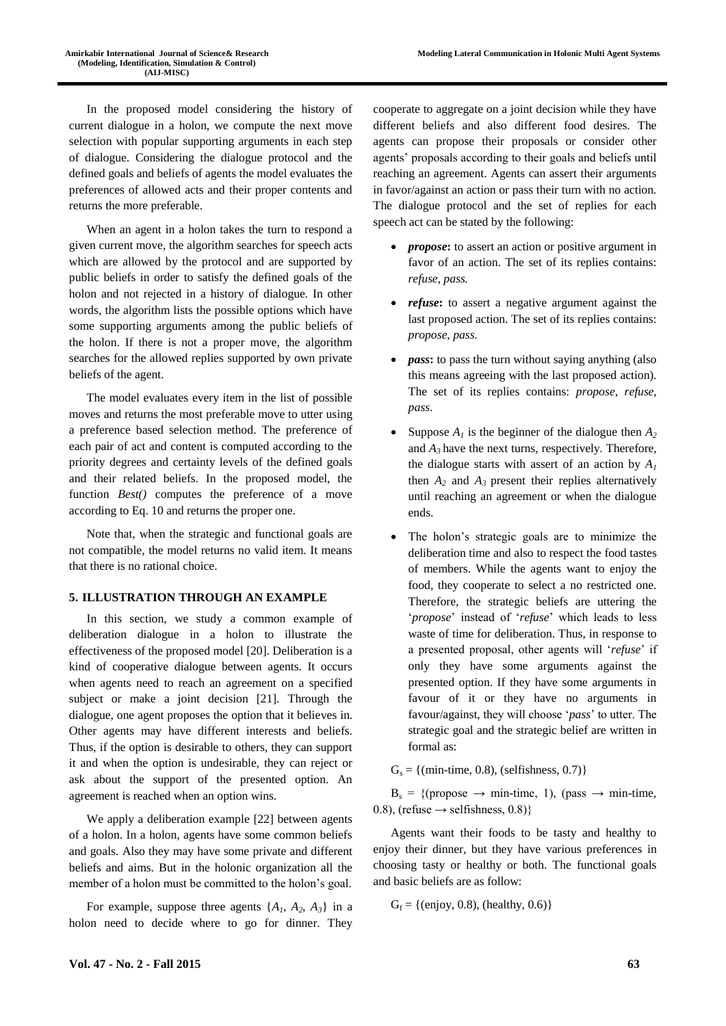In the proposed model considering the history of current dialogue in a holon, we compute the next move selection with popular supporting arguments in each step of dialogue. Considering the dialogue protocol and the defined goals and beliefs of agents the model evaluates the preferences of allowed acts and their proper contents and returns the more preferable.

When an agent in a holon takes the turn to respond a given current move, the algorithm searches for speech acts which are allowed by the protocol and are supported by public beliefs in order to satisfy the defined goals of the holon and not rejected in a history of dialogue. In other words, the algorithm lists the possible options which have some supporting arguments among the public beliefs of the holon. If there is not a proper move, the algorithm searches for the allowed replies supported by own private beliefs of the agent.

The model evaluates every item in the list of possible moves and returns the most preferable move to utter using a preference based selection method. The preference of each pair of act and content is computed according to the priority degrees and certainty levels of the defined goals and their related beliefs. In the proposed model, the function *Best()* computes the preference of a move according to Eq. 10 and returns the proper one.

Note that, when the strategic and functional goals are not compatible, the model returns no valid item. It means that there is no rational choice.

## **5. ILLUSTRATION THROUGH AN EXAMPLE**

In this section, we study a common example of deliberation dialogue in a holon to illustrate the effectiveness of the proposed model [20]. Deliberation is a kind of cooperative dialogue between agents. It occurs when agents need to reach an agreement on a specified subject or make a joint decision [21]. Through the dialogue, one agent proposes the option that it believes in. Other agents may have different interests and beliefs. Thus, if the option is desirable to others, they can support it and when the option is undesirable, they can reject or ask about the support of the presented option. An agreement is reached when an option wins.

We apply a deliberation example [22] between agents of a holon. In a holon, agents have some common beliefs and goals. Also they may have some private and different beliefs and aims. But in the holonic organization all the member of a holon must be committed to the holon's goal.

For example, suppose three agents  $\{A_1, A_2, A_3\}$  in a holon need to decide where to go for dinner. They

cooperate to aggregate on a joint decision while they have different beliefs and also different food desires. The agents can propose their proposals or consider other agents' proposals according to their goals and beliefs until reaching an agreement. Agents can assert their arguments in favor/against an action or pass their turn with no action. The dialogue protocol and the set of replies for each speech act can be stated by the following:

- *propose*: to assert an action or positive argument in favor of an action. The set of its replies contains: *refuse*, *pass.*
- *refuse*: to assert a negative argument against the last proposed action. The set of its replies contains: *propose*, *pass*.
- *pass***:** to pass the turn without saying anything (also this means agreeing with the last proposed action). The set of its replies contains: *propose*, *refuse*, *pass*.
- Suppose  $A_1$  is the beginner of the dialogue then  $A_2$ and  $A_3$  have the next turns, respectively. Therefore, the dialogue starts with assert of an action by  $A_I$ then  $A_2$  and  $A_3$  present their replies alternatively until reaching an agreement or when the dialogue ends.
- The holon's strategic goals are to minimize the deliberation time and also to respect the food tastes of members. While the agents want to enjoy the food, they cooperate to select a no restricted one. Therefore, the strategic beliefs are uttering the '*propose*' instead of '*refuse*' which leads to less waste of time for deliberation. Thus, in response to a presented proposal, other agents will '*refuse*' if only they have some arguments against the presented option. If they have some arguments in favour of it or they have no arguments in favour/against, they will choose '*pass*' to utter. The strategic goal and the strategic belief are written in formal as:

 $G<sub>s</sub> = {min-time, 0.8}, (selfishness, 0.7)$ 

 $B_s = \{$ (propose  $\rightarrow$  min-time, 1), (pass  $\rightarrow$  min-time, 0.8), (refuse  $\rightarrow$  selfishness, 0.8)}

Agents want their foods to be tasty and healthy to enjoy their dinner, but they have various preferences in choosing tasty or healthy or both. The functional goals and basic beliefs are as follow:

 $G_f = \{ (enjoy, 0.8), (healthy, 0.6) \}$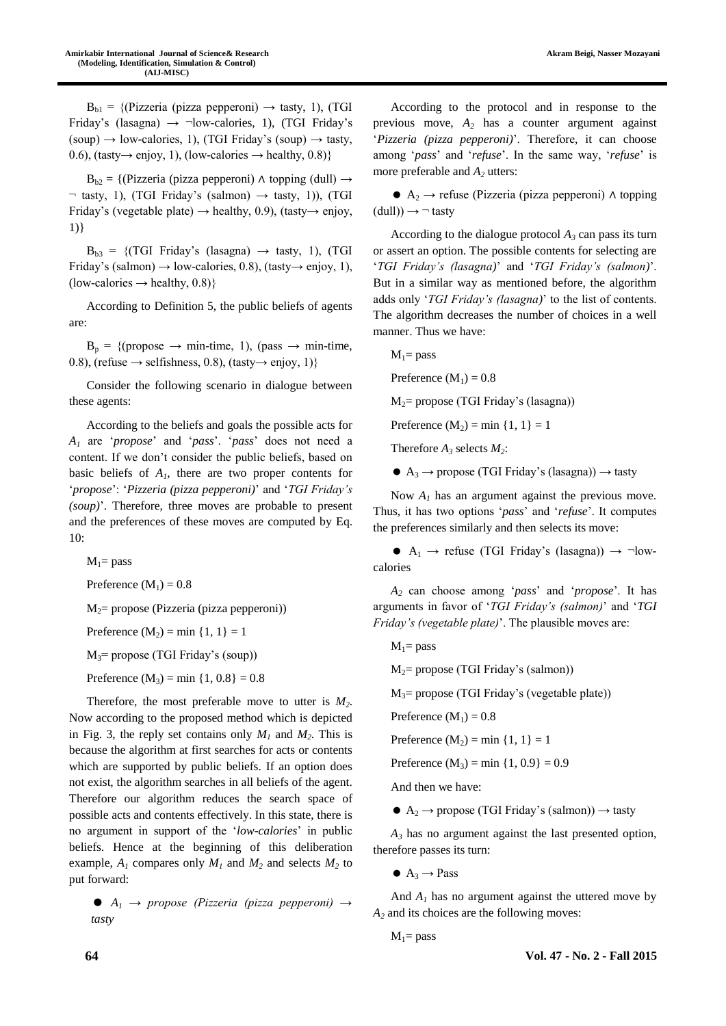$B_{b1} = \{$ (Pizzeria (pizza pepperoni)  $\rightarrow$  tasty, 1), (TGI Friday's (lasagna)  $\rightarrow$   $\neg$ low-calories, 1), (TGI Friday's  $(soup) \rightarrow low-calories, 1$ , (TGI Friday's  $(soup) \rightarrow task$ , 0.6), (tasty $\rightarrow$  enjoy, 1), (low-calories  $\rightarrow$  healthy, 0.8)}

 $B_{b2} = \{$ (Pizzeria (pizza pepperoni) ∧ topping (dull)  $\rightarrow$  $\neg$  tasty, 1), (TGI Friday's (salmon)  $\rightarrow$  tasty, 1)), (TGI Friday's (vegetable plate)  $\rightarrow$  healthy, 0.9), (tasty $\rightarrow$  enjoy, 1)}

 $B_{b3} = \{ (TGI Friday's (lasagna) \rightarrow task, 1), (TGI) \}$ Friday's (salmon)  $\rightarrow$  low-calories, 0.8), (tasty $\rightarrow$  enjoy, 1), (low-calories  $\rightarrow$  healthy, 0.8)}

According to Definition 5, the public beliefs of agents are:

 $B_p = \{$ (propose  $\rightarrow$  min-time, 1), (pass  $\rightarrow$  min-time, 0.8), (refuse  $\rightarrow$  selfishness, 0.8), (tasty $\rightarrow$  enjoy, 1)}

Consider the following scenario in dialogue between these agents:

According to the beliefs and goals the possible acts for *A<sup>1</sup>* are '*propose*' and '*pass*'. '*pass*' does not need a content. If we don't consider the public beliefs, based on basic beliefs of  $A<sub>1</sub>$ , there are two proper contents for '*propose*': '*Pizzeria (pizza pepperoni)*' and '*TGI Friday's (soup)*'. Therefore, three moves are probable to present and the preferences of these moves are computed by Eq. 10:

 $M_1$ = pass

Preference  $(M_1) = 0.8$ 

 $M<sub>2</sub>=$  propose (Pizzeria (pizza pepperoni))

Preference  $(M_2) = min \{1, 1\} = 1$ 

 $M_3$ = propose (TGI Friday's (soup))

Preference  $(M_3) = min \{1, 0.8\} = 0.8$ 

Therefore, the most preferable move to utter is *M2*. Now according to the proposed method which is depicted in Fig. 3, the reply set contains only  $M_1$  and  $M_2$ . This is because the algorithm at first searches for acts or contents which are supported by public beliefs. If an option does not exist, the algorithm searches in all beliefs of the agent. Therefore our algorithm reduces the search space of possible acts and contents effectively. In this state, there is no argument in support of the '*low-calories*' in public beliefs. Hence at the beginning of this deliberation example,  $A_1$  compares only  $M_1$  and  $M_2$  and selects  $M_2$  to put forward:

 $\bullet$  *A*<sub>1</sub>  $\rightarrow$  *propose (Pizzeria (pizza pepperoni)*  $\rightarrow$ *tasty*

According to the protocol and in response to the previous move, *A<sup>2</sup>* has a counter argument against '*Pizzeria (pizza pepperoni)*'. Therefore, it can choose among '*pass*' and '*refuse*'. In the same way, '*refuse*' is more preferable and *A<sup>2</sup>* utters:

 $A_2 \rightarrow$  refuse (Pizzeria (pizza pepperoni) ∧ topping  $(dull) \rightarrow \neg$  tasty

According to the dialogue protocol  $A_3$  can pass its turn or assert an option. The possible contents for selecting are '*TGI Friday's (lasagna)*' and '*TGI Friday's (salmon)*'. But in a similar way as mentioned before, the algorithm adds only '*TGI Friday's (lasagna)*' to the list of contents. The algorithm decreases the number of choices in a well manner. Thus we have:

 $M_1$ = pass

Preference  $(M_1) = 0.8$ 

 $M_2$ = propose (TGI Friday's (lasagna))

Preference  $(M_2) = min \{1, 1\} = 1$ 

Therefore  $A_2$  selects  $M_2$ :

 $\bullet$  A<sub>3</sub>  $\rightarrow$  propose (TGI Friday's (lasagna))  $\rightarrow$  tasty

Now  $A_I$  has an argument against the previous move. Thus, it has two options '*pass*' and '*refuse*'. It computes the preferences similarly and then selects its move:

 $\bullet$  A<sub>1</sub>  $\rightarrow$  refuse (TGI Friday's (lasagna))  $\rightarrow$  ¬lowcalories

*A<sup>2</sup>* can choose among '*pass*' and '*propose*'. It has arguments in favor of '*TGI Friday's (salmon)*' and '*TGI Friday's (vegetable plate)*'. The plausible moves are:

 $M_1$ = pass

 $M_2$ = propose (TGI Friday's (salmon))

 $M_3$ = propose (TGI Friday's (vegetable plate))

Preference  $(M_1) = 0.8$ 

Preference  $(M_2) = min \{1, 1\} = 1$ 

Preference  $(M_3) = min \{1, 0.9\} = 0.9$ 

And then we have:

 $\bullet$  A<sub>2</sub>  $\rightarrow$  propose (TGI Friday's (salmon))  $\rightarrow$  tasty

*A<sup>3</sup>* has no argument against the last presented option, therefore passes its turn:

 $\bullet$  A<sub>3</sub>  $\rightarrow$  Pass

And  $A_1$  has no argument against the uttered move by *A<sup>2</sup>* and its choices are the following moves:

$$
M_{\rm l}\text{=}\,pass
$$

**64 Vol. 47 - No. 2 - Fall 2015**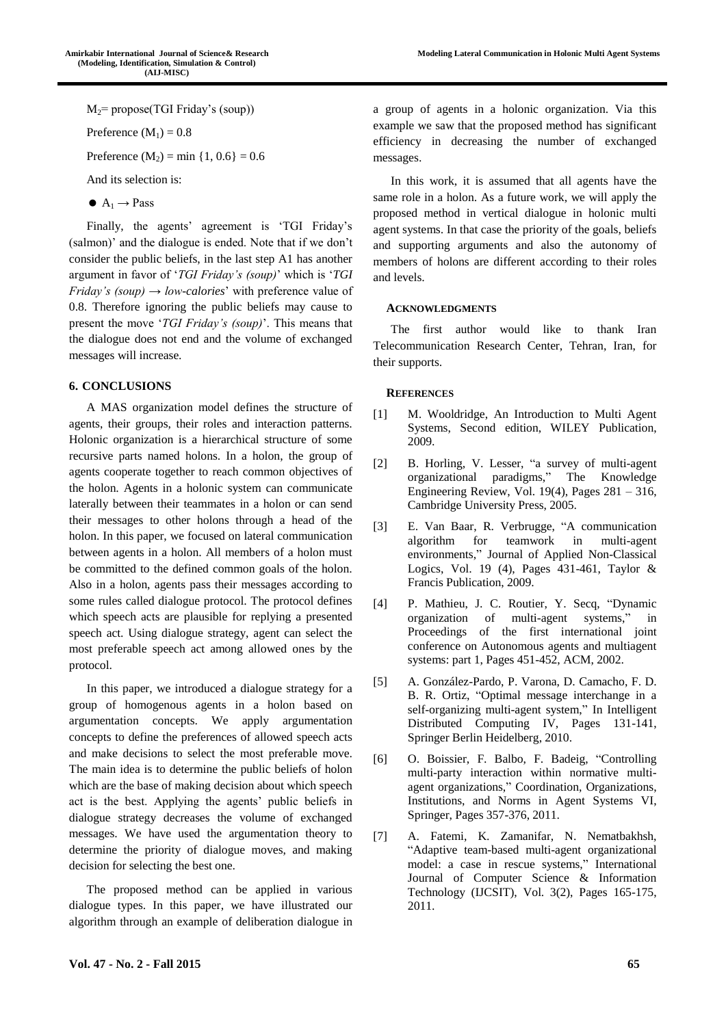**Modeling Lateral Communication in Holonic Multi Agent Systems**

 $M_2$ = propose(TGI Friday's (soup))

Preference  $(M_1) = 0.8$ 

Preference  $(M_2) = min \{1, 0.6\} = 0.6$ 

And its selection is:

 $A_1 \rightarrow P$ ass

Finally, the agents' agreement is 'TGI Friday's (salmon)' and the dialogue is ended. Note that if we don't consider the public beliefs, in the last step A1 has another argument in favor of '*TGI Friday's (soup)*' which is '*TGI Friday's (soup)*  $\rightarrow$  *low-calories'* with preference value of 0.8. Therefore ignoring the public beliefs may cause to present the move '*TGI Friday's (soup)*'. This means that the dialogue does not end and the volume of exchanged messages will increase.

## **6. CONCLUSIONS**

A MAS organization model defines the structure of agents, their groups, their roles and interaction patterns. Holonic organization is a hierarchical structure of some recursive parts named holons. In a holon, the group of agents cooperate together to reach common objectives of the holon. Agents in a holonic system can communicate laterally between their teammates in a holon or can send their messages to other holons through a head of the holon. In this paper, we focused on lateral communication between agents in a holon. All members of a holon must be committed to the defined common goals of the holon. Also in a holon, agents pass their messages according to some rules called dialogue protocol. The protocol defines which speech acts are plausible for replying a presented speech act. Using dialogue strategy, agent can select the most preferable speech act among allowed ones by the protocol.

In this paper, we introduced a dialogue strategy for a group of homogenous agents in a holon based on argumentation concepts. We apply argumentation concepts to define the preferences of allowed speech acts and make decisions to select the most preferable move. The main idea is to determine the public beliefs of holon which are the base of making decision about which speech act is the best. Applying the agents' public beliefs in dialogue strategy decreases the volume of exchanged messages. We have used the argumentation theory to determine the priority of dialogue moves, and making decision for selecting the best one.

The proposed method can be applied in various dialogue types. In this paper, we have illustrated our algorithm through an example of deliberation dialogue in a group of agents in a holonic organization. Via this example we saw that the proposed method has significant efficiency in decreasing the number of exchanged messages.

In this work, it is assumed that all agents have the same role in a holon. As a future work, we will apply the proposed method in vertical dialogue in holonic multi agent systems. In that case the priority of the goals, beliefs and supporting arguments and also the autonomy of members of holons are different according to their roles and levels.

## **ACKNOWLEDGMENTS**

The first author would like to thank Iran Telecommunication Research Center, Tehran, Iran, for their supports.

## **REFERENCES**

- [1] M. Wooldridge, An Introduction to Multi Agent Systems, Second edition, WILEY Publication, 2009.
- [2] B. Horling, V. Lesser, "a survey of multi-agent organizational paradigms," The Knowledge Engineering Review, Vol. 19(4), Pages 281 – 316, Cambridge University Press, 2005.
- [3] E. Van Baar, R. Verbrugge, "A communication algorithm for teamwork in multi-agent environments," Journal of Applied Non-Classical Logics, Vol. 19 (4), Pages 431-461, Taylor & Francis Publication, 2009.
- [4] P. Mathieu, J. C. Routier, Y. Secq, "Dynamic organization of multi-agent systems," in Proceedings of the first international joint conference on Autonomous agents and multiagent systems: part 1, Pages 451-452, ACM, 2002.
- [5] A. González-Pardo, P. Varona, D. Camacho, F. D. B. R. Ortiz, "Optimal message interchange in a self-organizing multi-agent system," In Intelligent Distributed Computing IV, Pages 131-141, Springer Berlin Heidelberg, 2010.
- [6] O. Boissier, F. Balbo, F. Badeig, "Controlling multi-party interaction within normative multiagent organizations," Coordination, Organizations, Institutions, and Norms in Agent Systems VI, Springer, Pages 357-376, 2011.
- [7] A. Fatemi, K. Zamanifar, N. Nematbakhsh, "Adaptive team-based multi-agent organizational model: a case in rescue systems," International Journal of Computer Science & Information Technology (IJCSIT), Vol. 3(2), Pages 165-175, 2011.